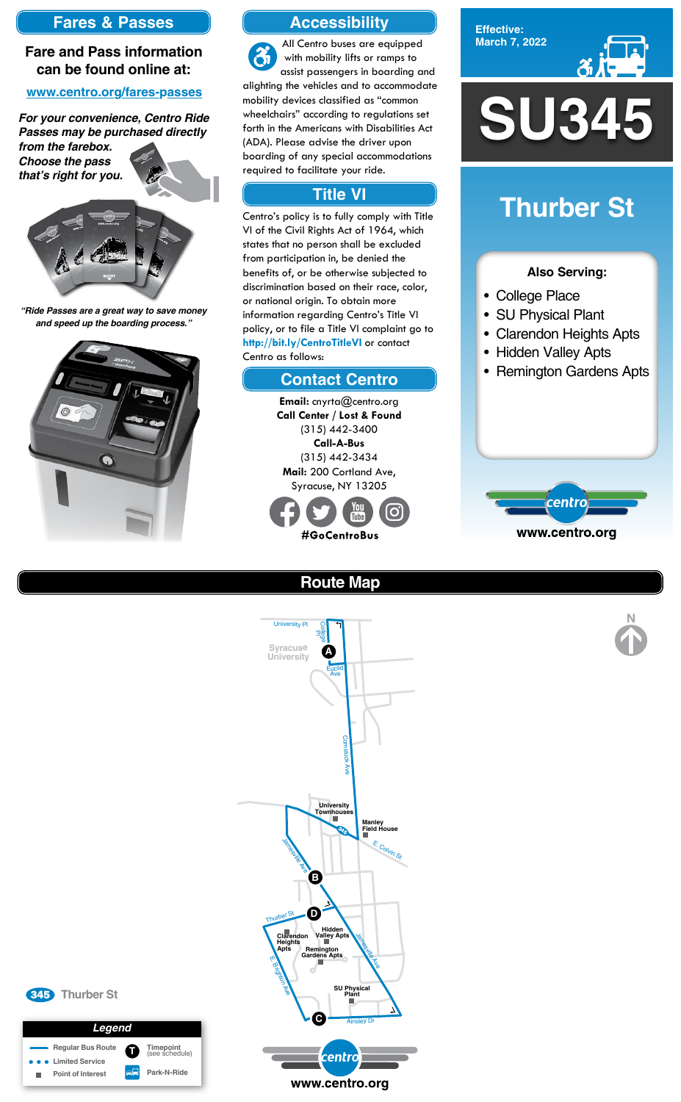**Effective: March 7, 2022**



#### **Also Serving:**

- College Place
- SU Physical Plant
- Clarendon Heights Apts
- Hidden Valley Apts
- Remington Gardens Apts



# **Thurber St**

### **Accessibility**

### **Contact Centro**

### **Title VI**

All Centro buses are equipped  $\mathfrak{F}$ with mobility lifts or ramps to assist passengers in boarding and alighting the vehicles and to accommodate mobility devices classified as "common wheelchairs" according to regulations set forth in the Americans with Disabilities Act (ADA). Please advise the driver upon boarding of any special accommodations required to facilitate your ride.

> **Email:** cnyrta@centro.org **Call Center / Lost & Found** (315) 442-3400 **Call-A-Bus** (315) 442-3434 **Mail:** 200 Cortland Ave, Syracuse, NY 13205



Centro's policy is to fully comply with Title VI of the Civil Rights Act of 1964, which states that no person shall be excluded from participation in, be denied the benefits of, or be otherwise subjected to discrimination based on their race, color, or national origin. To obtain more information regarding Centro's Title VI policy, or to file a Title VI complaint go to **http://bit.ly/CentroTitleVI** or contact Centro as follows:

### **Fares & Passes**

#### **Fare and Pass information can be found online at:**

#### **www.centro.org/fares-passes**

*"Ride Passes are a great way to save money and speed up the boarding process."*



*For your convenience, Centro Ride Passes may be purchased directly* 

*from the farebox. Choose the pass that's right for you.*







## **Route Map**